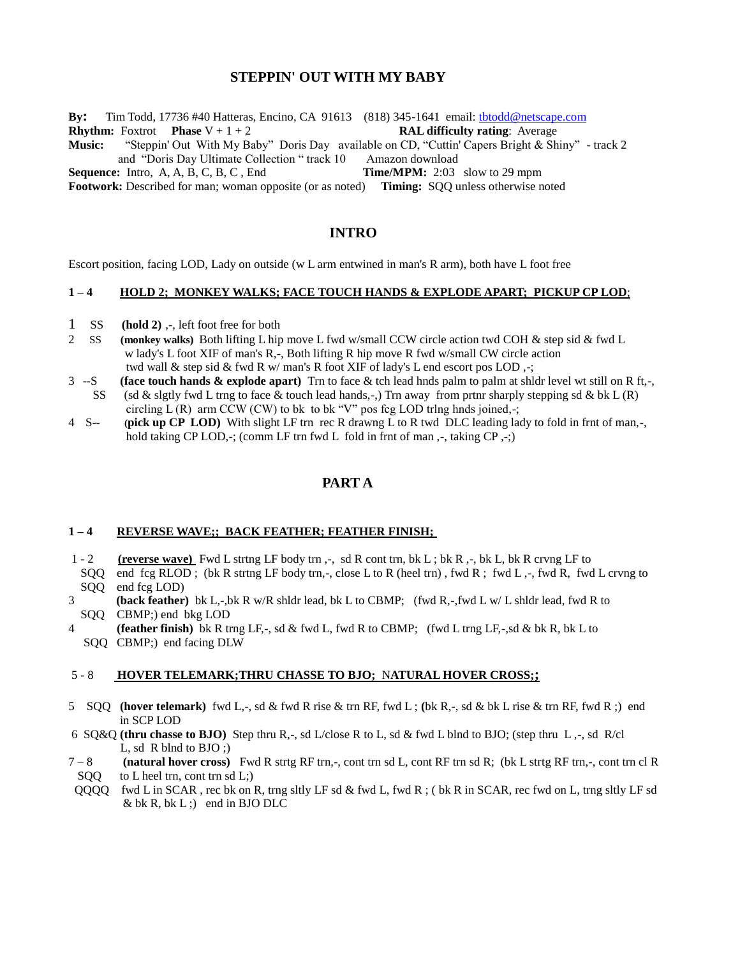# **STEPPIN' OUT WITH MY BABY**

**By:** Tim Todd, 17736 #40 Hatteras, Encino, CA 91613 (818) 345-1641 email: [tbtodd@netscape.com](mailto:tbtodd@netscape.com) **Rhythm:** Foxtrot **Phase**  $V + 1 + 2$  **RAL difficulty rating**: Average **Music:** "Steppin' Out With My Baby" Doris Day available on CD, "Cuttin' Capers Bright & Shiny" - track 2 and "Doris Day Ultimate Collection " track 10 Amazon download **Sequence:** Intro, A, A, B, C, B, C, End **Time/MPM:** 2:03 slow to 29 mpm **Footwork:** Described for man; woman opposite (or as noted) **Timing:** SQQ unless otherwise noted

# **INTRO**

Escort position, facing LOD, Lady on outside (w L arm entwined in man's R arm), both have L foot free

# **1 – 4 HOLD 2; MONKEY WALKS; FACE TOUCH HANDS & EXPLODE APART; PICKUP CP LOD**;

- 1 SS **(hold 2)** ,-, left foot free for both
- 2 SS **(monkey walks)** Both lifting L hip move L fwd w/small CCW circle action twd COH & step sid & fwd L w lady's L foot XIF of man's R,-, Both lifting R hip move R fwd w/small CW circle action twd wall & step sid & fwd R w/ man's R foot XIF of lady's L end escort pos LOD, $\cdot$ ;
- 3 --S **(face touch hands & explode apart)** Trn to face & tch lead hnds palm to palm at shldr level wt still on R ft,-, SS (sd & slgtly fwd L trng to face & touch lead hands,-,) Trn away from prtnr sharply stepping sd & bk L (R) circling  $L(R)$  arm CCW (CW) to bk to bk "V" pos fcg LOD trlng hnds joined,-;
- 4 S-- **(pick up CP LOD)** With slight LF trn rec R drawng L to R twd DLC leading lady to fold in frnt of man,-, hold taking CP LOD,-; (comm LF trn fwd L fold in frnt of man, -, taking CP, -;)

# **PART A**

#### **1 – 4 REVERSE WAVE;; BACK FEATHER; FEATHER FINISH;**

- 1 2 **(reverse wave)** Fwd L strtng LF body trn ,-, sd R cont trn, bk L ; bk R ,-, bk L, bk R crvng LF to SQQ end fcg RLOD ; (bk R strtng LF body trn,-, close L to R (heel trn), fwd R; fwd L,-, fwd R, fwd L crvng to SQQ end fcg LOD)
- 3 **(back feather)** bk L,-,bk R w/R shldr lead, bk L to CBMP; (fwd R,-,fwd L w/ L shldr lead, fwd R to SQQ CBMP;) end bkg LOD
- 4 **(feather finish)** bk R trng LF,-, sd & fwd L, fwd R to CBMP; (fwd L trng LF,-,sd & bk R, bk L to SQQ CBMP;) end facing DLW

#### 5 - 8 **HOVER TELEMARK;THRU CHASSE TO BJO;** N**ATURAL HOVER CROSS;;**

- 5 SQQ **(hover telemark)** fwd L,-, sd & fwd R rise & trn RF, fwd L ; **(**bk R,-, sd & bk L rise & trn RF, fwd R ;) end in SCP LOD
- 6 SQ&Q **(thru chasse to BJO)** Step thru R,-, sd L/close R to L, sd & fwd L blnd to BJO; (step thru L ,-, sd R/cl L, sd R blnd to BJO ;)
- 7 8 **(natural hover cross)** Fwd R strtg RF trn,-, cont trn sd L, cont RF trn sd R; (bk L strtg RF trn,-, cont trn cl R  $SOO$  to L heel trn, cont trn sd L;)
- QQQQ fwd L in SCAR , rec bk on R, trng sltly LF sd & fwd L, fwd R ; ( bk R in SCAR, rec fwd on L, trng sltly LF sd  $& bk R, bk L ;) \text{ end in } BJO DLC$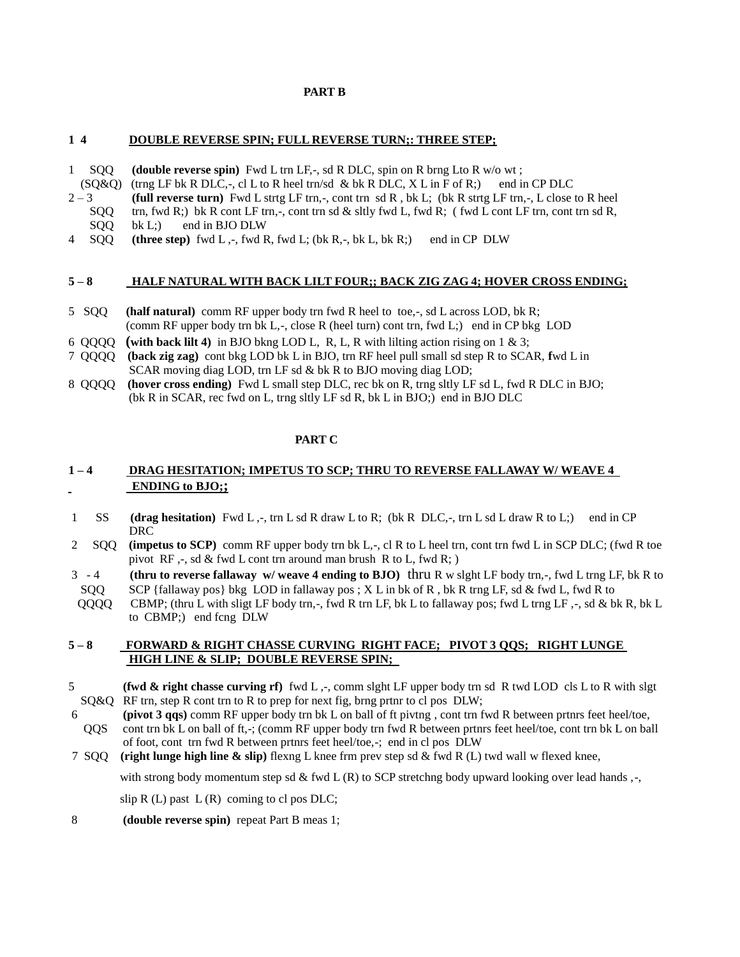### **PART B**

# **1 4 DOUBLE REVERSE SPIN; FULL REVERSE TURN;: THREE STEP;**

- 1 SQQ **(double reverse spin)** Fwd L trn LF,-, sd R DLC, spin on R brng Lto R w/o wt ;
- $(SQ&Q)$  (trng LF bk R DLC,-, cl L to R heel trn/sd & bk R DLC, X L in F of R;) end in CP DLC
- 2 3 **(full reverse turn)** Fwd L strtg LF trn,-, cont trn sd R , bk L; (bk R strtg LF trn,-, L close to R heel SQQ trn, fwd R;) bk R cont LF trn,-, cont trn sd & sltly fwd L, fwd R; (fwd L cont LF trn, cont trn sd R, SQQ bk L;) end in BJO DLW
- 4 SQQ **(three step)** fwd L ,-, fwd R, fwd L; (bk R,-, bk L, bk R;) end in CP DLW

## **5 – 8 HALF NATURAL WITH BACK LILT FOUR;; BACK ZIG ZAG 4; HOVER CROSS ENDING;**

- 5 SQQ **(half natural)** comm RF upper body trn fwd R heel to toe,-, sd L across LOD, bk R; (comm RF upper body trn bk  $L_2$ -, close R (heel turn) cont trn, fwd  $L_2$ ) end in CP bkg LOD
- 6 QQQQ **(with back lilt 4)** in BJO bkng LOD L, R, L, R with lilting action rising on 1 & 3;
- 7 QQQQ **(back zig zag)** cont bkg LOD bk L in BJO, trn RF heel pull small sd step R to SCAR, **f**wd L in SCAR moving diag LOD, trn LF sd & bk R to BJO moving diag LOD;
- 8 QQQQ **(hover cross ending)** Fwd L small step DLC, rec bk on R, trng sltly LF sd L, fwd R DLC in BJO; (bk R in SCAR, rec fwd on L, trng sltly LF sd R, bk L in BJO;) end in BJO DLC

### **PART C**

# **1 – 4 DRAG HESITATION; IMPETUS TO SCP; THRU TO REVERSE FALLAWAY W/ WEAVE 4 ENDING to BJO;;**

- 1 SS **(drag hesitation)** Fwd L ,-, trn L sd R draw L to R; (bk R DLC,-, trn L sd L draw R to L;) end in CP DRC
- 2 SQQ **(impetus to SCP)** comm RF upper body trn bk L,-, cl R to L heel trn, cont trn fwd L in SCP DLC; (fwd R toe pivot  $RF, -$ , sd & fwd L cont trn around man brush R to L, fwd R; )
- 3 4 **(thru to reverse fallaway w/ weave 4 ending to BJO)** thru R w slght LF body trn,-, fwd L trng LF, bk R to SQQ SCP {fallaway pos} bkg LOD in fallaway pos;  $X$  L in bk of R, bk R trng LF, sd & fwd L, fwd R to
- QQQQ CBMP; (thru L with sligt LF body trn,-, fwd R trn LF, bk L to fallaway pos; fwd L trng LF ,-, sd & bk R, bk L to CBMP;) end fcng DLW

### **5 – 8 FORWARD & RIGHT CHASSE CURVING RIGHT FACE; PIVOT 3 QQS; RIGHT LUNGE HIGH LINE & SLIP; DOUBLE REVERSE SPIN;**

- 5 **(fwd & right chasse curving rf)** fwd L ,-, comm slght LF upper body trn sd R twd LOD cls L to R with slgt SQ&Q RF trn, step R cont trn to R to prep for next fig, brng prtnr to cl pos DLW;
- 6 **(pivot 3 qqs)** comm RF upper body trn bk L on ball of ft pivtng , cont trn fwd R between prtnrs feet heel/toe, QQS cont trn bk L on ball of ft,-; (comm RF upper body trn fwd R between prtnrs feet heel/toe, cont trn bk L on ball of foot, cont trn fwd R between prtnrs feet heel/toe,-; end in cl pos DLW
- 7 SQQ **(right lunge high line & slip)** flexng L knee frm prev step sd & fwd R (L) twd wall w flexed knee,

with strong body momentum step sd & fwd L (R) to SCP stretchng body upward looking over lead hands  $,$ -

slip  $R(L)$  past  $L(R)$  coming to cl pos DLC;

8 **(double reverse spin)** repeat Part B meas 1;